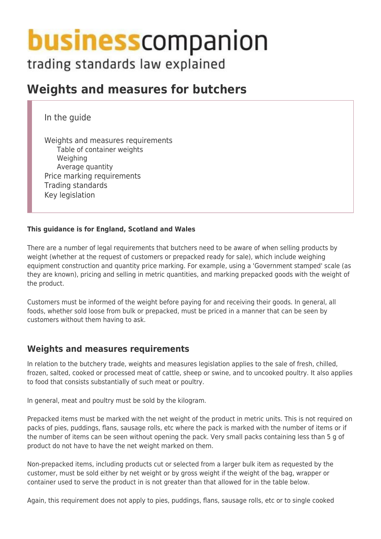# **business** companion

trading standards law explained

# **Weights and measures for butchers**

In the guide

Weights and measures requirements Table of container weights Weighing Average quantity Price marking requirements Trading standards Key legislation

#### **This guidance is for England, Scotland and Wales**

There are a number of legal requirements that butchers need to be aware of when selling products by weight (whether at the request of customers or prepacked ready for sale), which include weighing equipment construction and quantity price marking. For example, using a 'Government stamped' scale (as they are known), pricing and selling in metric quantities, and marking prepacked goods with the weight of the product.

Customers must be informed of the weight before paying for and receiving their goods. In general, all foods, whether sold loose from bulk or prepacked, must be priced in a manner that can be seen by customers without them having to ask.

# **Weights and measures requirements**

In relation to the butchery trade, weights and measures legislation applies to the sale of fresh, chilled, frozen, salted, cooked or processed meat of cattle, sheep or swine, and to uncooked poultry. It also applies to food that consists substantially of such meat or poultry.

In general, meat and poultry must be sold by the kilogram.

Prepacked items must be marked with the net weight of the product in metric units. This is not required on packs of pies, puddings, flans, sausage rolls, etc where the pack is marked with the number of items or if the number of items can be seen without opening the pack. Very small packs containing less than 5 g of product do not have to have the net weight marked on them.

Non-prepacked items, including products cut or selected from a larger bulk item as requested by the customer, must be sold either by net weight or by gross weight if the weight of the bag, wrapper or container used to serve the product in is not greater than that allowed for in the table below.

Again, this requirement does not apply to pies, puddings, flans, sausage rolls, etc or to single cooked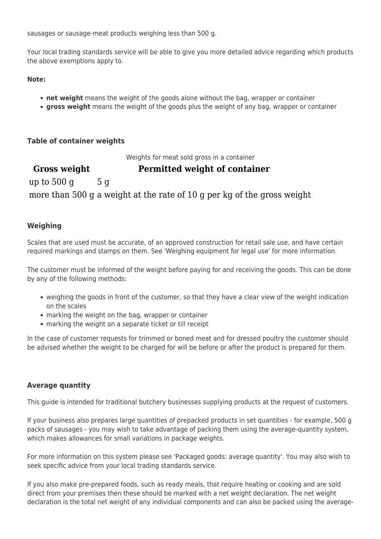sausages or sausage-meat products weighing less than 500 g.

Your local trading standards service will be able to give you more detailed advice regarding which products the above exemptions apply to.

**Note:**

- **net weight** means the weight of the goods alone without the bag, wrapper or container
- **gross weight** means the weight of the goods plus the weight of any bag, wrapper or container

**Table of container weights**

Weights for meat sold gross in a container

**Gross weight Permitted weight of container** up to  $500 \text{ g}$  5 g more than 500 g a weight at the rate of 10 g per kg of the gross weight

#### **Weighing**

Scales that are used must be accurate, of an approved construction for retail sale use, and have certain required markings and stamps on them. See 'Weighing equipment for legal use' for more information.

The customer must be informed of the weight before paying for and receiving the goods. This can be done by any of the following methods:

- weighing the goods in front of the customer, so that they have a clear view of the weight indication on the scales
- marking the weight on the bag, wrapper or container
- marking the weight on a separate ticket or till receipt

In the case of customer requests for trimmed or boned meat and for dressed poultry the customer should be advised whether the weight to be charged for will be before or after the product is prepared for them.

#### **Average quantity**

This guide is intended for traditional butchery businesses supplying products at the request of customers.

If your business also prepares large quantities of prepacked products in set quantities - for example, 500 g packs of sausages - you may wish to take advantage of packing them using the average-quantity system, which makes allowances for small variations in package weights.

For more information on this system please see 'Packaged goods: average quantity'. You may also wish to seek specific advice from your local trading standards service.

If you also make pre-prepared foods, such as ready meals, that require heating or cooking and are sold direct from your premises then these should be marked with a net weight declaration. The net weight declaration is the total net weight of any individual components and can also be packed using the average-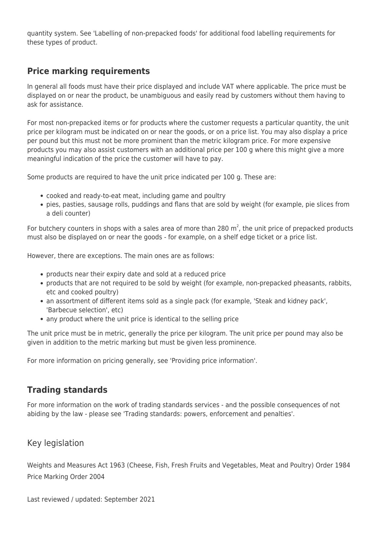quantity system. See 'Labelling of non-prepacked foods' for additional food labelling requirements for these types of product.

# **Price marking requirements**

In general all foods must have their price displayed and include VAT where applicable. The price must be displayed on or near the product, be unambiguous and easily read by customers without them having to ask for assistance.

For most non-prepacked items or for products where the customer requests a particular quantity, the unit price per kilogram must be indicated on or near the goods, or on a price list. You may also display a price per pound but this must not be more prominent than the metric kilogram price. For more expensive products you may also assist customers with an additional price per 100 g where this might give a more meaningful indication of the price the customer will have to pay.

Some products are required to have the unit price indicated per 100 g. These are:

- cooked and ready-to-eat meat, including game and poultry
- pies, pasties, sausage rolls, puddings and flans that are sold by weight (for example, pie slices from a deli counter)

For butchery counters in shops with a sales area of more than 280 m<sup>2</sup>, the unit price of prepacked products must also be displayed on or near the goods - for example, on a shelf edge ticket or a price list.

However, there are exceptions. The main ones are as follows:

- products near their expiry date and sold at a reduced price
- products that are not required to be sold by weight (for example, non-prepacked pheasants, rabbits, etc and cooked poultry)
- an assortment of different items sold as a single pack (for example, 'Steak and kidney pack', 'Barbecue selection', etc)
- any product where the unit price is identical to the selling price

The unit price must be in metric, generally the price per kilogram. The unit price per pound may also be given in addition to the metric marking but must be given less prominence.

For more information on pricing generally, see 'Providing price information'.

# **Trading standards**

For more information on the work of trading standards services - and the possible consequences of not abiding by the law - please see 'Trading standards: powers, enforcement and penalties'.

#### Key legislation

Weights and Measures Act 1963 (Cheese, Fish, Fresh Fruits and Vegetables, Meat and Poultry) Order 1984 Price Marking Order 2004

Last reviewed / updated: September 2021